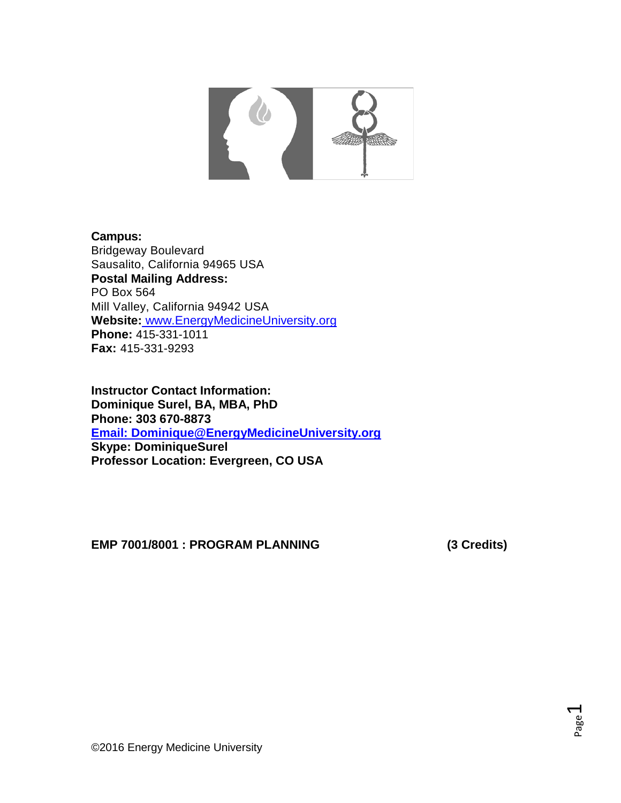

**Campus:** Bridgeway Boulevard Sausalito, California 94965 USA **Postal Mailing Address:** PO Box 564 Mill Valley, California 94942 USA **Website:** [www.EnergyMedicineUniversity.org](http://www.energymedicineuniversity.org/) **Phone:** 415-331-1011 **Fax:** 415-331-9293

**Instructor Contact Information: Dominique Surel, BA, MBA, PhD Phone: 303 670-8873 [Email:](mailto:Maria@EnergyMedicineUniversity.org) Dominique@EnergyMedicineUniversity.org Skype: DominiqueSurel Professor Location: Evergreen, CO USA**

**EMP 7001/8001 : PROGRAM PLANNING (3 Credits)**

Page  $\blacktriangleleft$ 

©2016 Energy Medicine University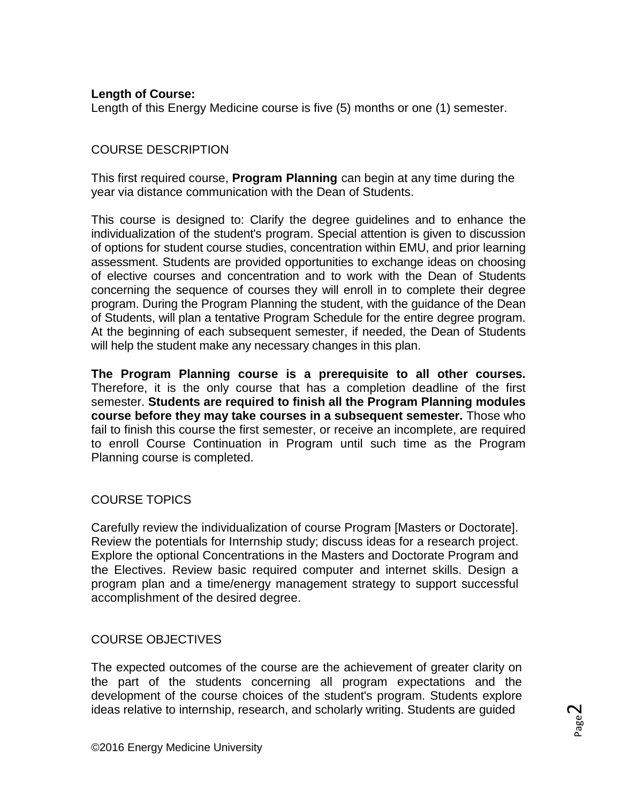# **Length of Course:**

Length of this Energy Medicine course is five (5) months or one (1) semester.

# COURSE DESCRIPTION

This first required course, **Program Planning** can begin at any time during the year via distance communication with the Dean of Students.

This course is designed to: Clarify the degree guidelines and to enhance the individualization of the student's program. Special attention is given to discussion of options for student course studies, concentration within EMU, and prior learning assessment. Students are provided opportunities to exchange ideas on choosing of elective courses and concentration and to work with the Dean of Students concerning the sequence of courses they will enroll in to complete their degree program. During the Program Planning the student, with the guidance of the Dean of Students, will plan a tentative Program Schedule for the entire degree program. At the beginning of each subsequent semester, if needed, the Dean of Students will help the student make any necessary changes in this plan.

**The Program Planning course is a prerequisite to all other courses.**  Therefore, it is the only course that has a completion deadline of the first semester. **Students are required to finish all the Program Planning modules course before they may take courses in a subsequent semester.** Those who fail to finish this course the first semester, or receive an incomplete, are required to enroll Course Continuation in Program until such time as the Program Planning course is completed.

## COURSE TOPICS

Carefully review the individualization of course Program [Masters or Doctorate]. Review the potentials for Internship study; discuss ideas for a research project. Explore the optional Concentrations in the Masters and Doctorate Program and the Electives. Review basic required computer and internet skills. Design a program plan and a time/energy management strategy to support successful accomplishment of the desired degree.

## COURSE OBJECTIVES

The expected outcomes of the course are the achievement of greater clarity on the part of the students concerning all program expectations and the development of the course choices of the student's program. Students explore ideas relative to internship, research, and scholarly writing. Students are guided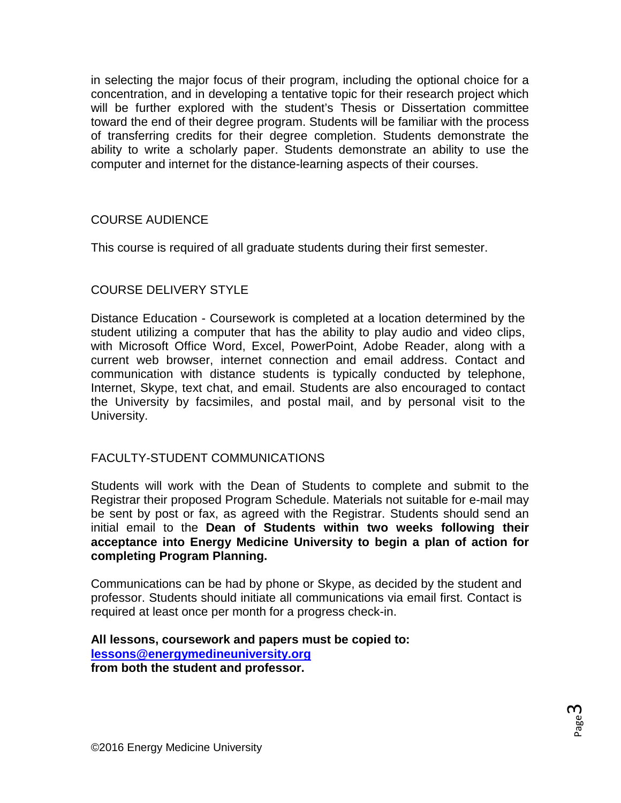in selecting the major focus of their program, including the optional choice for a concentration, and in developing a tentative topic for their research project which will be further explored with the student's Thesis or Dissertation committee toward the end of their degree program. Students will be familiar with the process of transferring credits for their degree completion. Students demonstrate the ability to write a scholarly paper. Students demonstrate an ability to use the computer and internet for the distance-learning aspects of their courses.

# COURSE AUDIENCE

This course is required of all graduate students during their first semester.

# COURSE DELIVERY STYLE

Distance Education - Coursework is completed at a location determined by the student utilizing a computer that has the ability to play audio and video clips, with Microsoft Office Word, Excel, PowerPoint, Adobe Reader, along with a current web browser, internet connection and email address. Contact and communication with distance students is typically conducted by telephone, Internet, Skype, text chat, and email. Students are also encouraged to contact the University by facsimiles, and postal mail, and by personal visit to the University.

## FACULTY-STUDENT COMMUNICATIONS

Students will work with the Dean of Students to complete and submit to the Registrar their proposed Program Schedule. Materials not suitable for e-mail may be sent by post or fax, as agreed with the Registrar. Students should send an initial email to the **Dean of Students within two weeks following their acceptance into Energy Medicine University to begin a plan of action for completing Program Planning.**

Communications can be had by phone or Skype, as decided by the student and professor. Students should initiate all communications via email first. Contact is required at least once per month for a progress check-in.

#### **All lessons, coursework and papers must be copied to: [lessons@energymedineuniversity.org](mailto:lessons@energymedineuniversity.org) from both the student and professor.**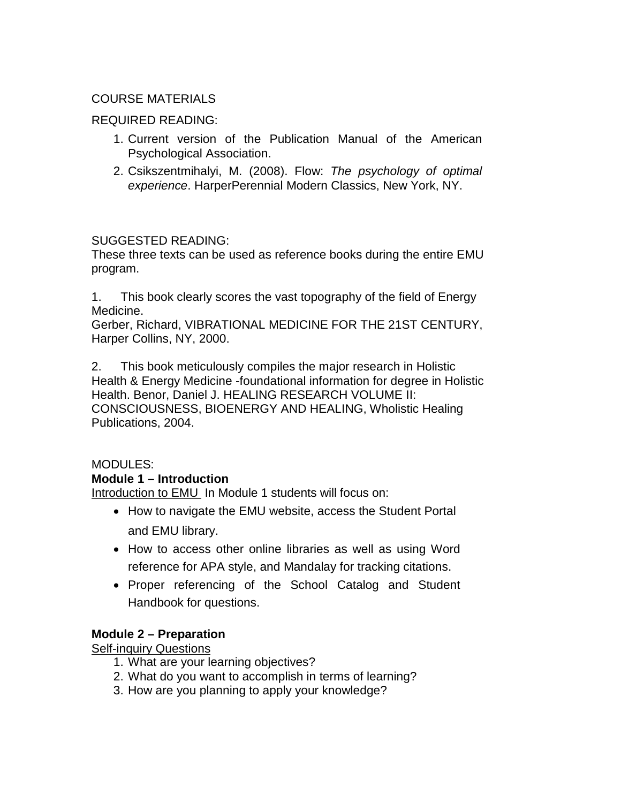# COURSE MATERIALS

# REQUIRED READING:

- 1. Current version of the Publication Manual of the American Psychological Association.
- 2. Csikszentmihalyi, M. (2008). Flow: *The psychology of optimal experience*. HarperPerennial Modern Classics, New York, NY.

## SUGGESTED READING:

These three texts can be used as reference books during the entire EMU program.

1. This book clearly scores the vast topography of the field of Energy Medicine.

Gerber, Richard, VIBRATIONAL MEDICINE FOR THE 21ST CENTURY, Harper Collins, NY, 2000.

2. This book meticulously compiles the major research in Holistic Health & Energy Medicine -foundational information for degree in Holistic Health. Benor, Daniel J. HEALING RESEARCH VOLUME II: CONSCIOUSNESS, BIOENERGY AND HEALING, Wholistic Healing Publications, 2004.

#### MODULES: **Module 1 – Introduction**

Introduction to EMU In Module 1 students will focus on:

- How to navigate the EMU website, access the Student Portal and EMU library.
- How to access other online libraries as well as using Word reference for APA style, and Mandalay for tracking citations.
- Proper referencing of the School Catalog and Student Handbook for questions.

## **Module 2 – Preparation**

Self-inquiry Questions

- 1. What are your learning objectives?
- 2. What do you want to accomplish in terms of learning?
- 3. How are you planning to apply your knowledge?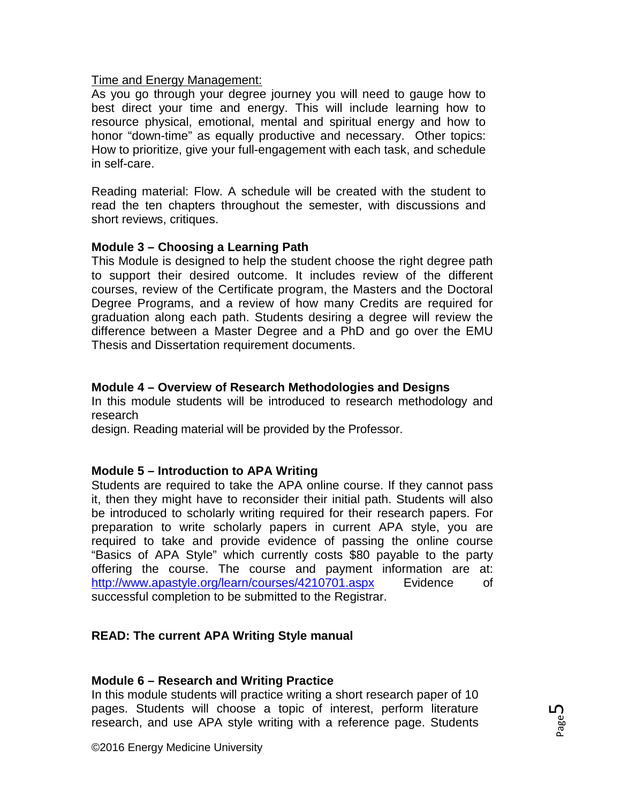#### Time and Energy Management:

As you go through your degree journey you will need to gauge how to best direct your time and energy. This will include learning how to resource physical, emotional, mental and spiritual energy and how to honor "down-time" as equally productive and necessary. Other topics: How to prioritize, give your full-engagement with each task, and schedule in self-care.

Reading material: Flow. A schedule will be created with the student to read the ten chapters throughout the semester, with discussions and short reviews, critiques.

#### **Module 3 – Choosing a Learning Path**

This Module is designed to help the student choose the right degree path to support their desired outcome. It includes review of the different courses, review of the Certificate program, the Masters and the Doctoral Degree Programs, and a review of how many Credits are required for graduation along each path. Students desiring a degree will review the difference between a Master Degree and a PhD and go over the EMU Thesis and Dissertation requirement documents.

#### **Module 4 – Overview of Research Methodologies and Designs**

In this module students will be introduced to research methodology and research

design. Reading material will be provided by the Professor.

#### **Module 5 – Introduction to APA Writing**

Students are required to take the APA online course. If they cannot pass it, then they might have to reconsider their initial path. Students will also be introduced to scholarly writing required for their research papers. For preparation to write scholarly papers in current APA style, you are required to take and provide evidence of passing the online course "Basics of APA Style" which currently costs \$80 payable to the party offering the course. The course and payment information are at: <http://www.apastyle.org/learn/courses/4210701.aspx> Evidence of successful completion to be submitted to the Registrar.

## **READ: The current APA Writing Style manual**

#### **Module 6 – Research and Writing Practice**

In this module students will practice writing a short research paper of 10 pages. Students will choose a topic of interest, perform literature research, and use APA style writing with a reference page. Students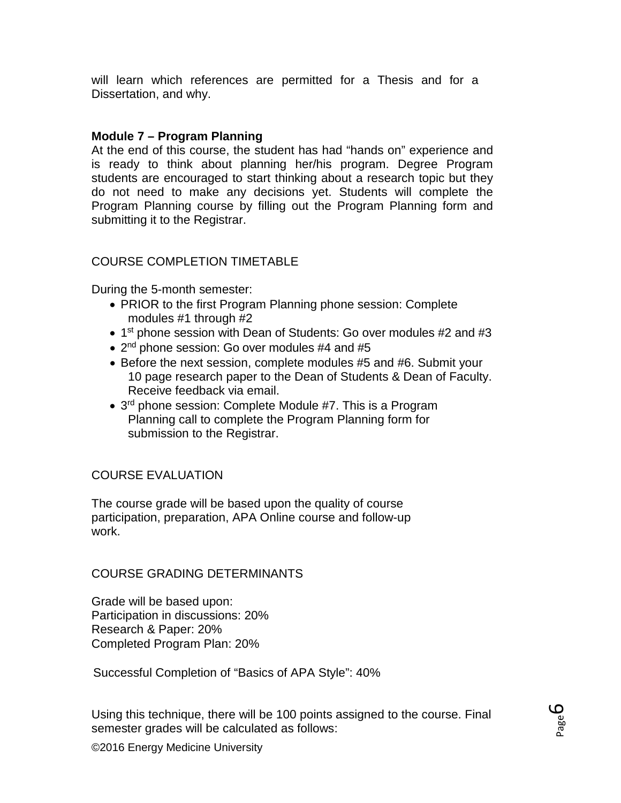will learn which references are permitted for a Thesis and for a Dissertation, and why.

#### **Module 7 – Program Planning**

At the end of this course, the student has had "hands on" experience and is ready to think about planning her/his program. Degree Program students are encouraged to start thinking about a research topic but they do not need to make any decisions yet. Students will complete the Program Planning course by filling out the Program Planning form and submitting it to the Registrar.

## COURSE COMPLETION TIMETABLE

During the 5-month semester:

- PRIOR to the first Program Planning phone session: Complete modules #1 through #2
- 1<sup>st</sup> phone session with Dean of Students: Go over modules #2 and #3
- 2<sup>nd</sup> phone session: Go over modules #4 and #5
- Before the next session, complete modules #5 and #6. Submit your 10 page research paper to the Dean of Students & Dean of Faculty. Receive feedback via email.
- 3<sup>rd</sup> phone session: Complete Module #7. This is a Program Planning call to complete the Program Planning form for submission to the Registrar.

## COURSE EVALUATION

The course grade will be based upon the quality of course participation, preparation, APA Online course and follow-up work.

## COURSE GRADING DETERMINANTS

Grade will be based upon: Participation in discussions: 20% Research & Paper: 20% Completed Program Plan: 20%

Successful Completion of "Basics of APA Style": 40%

Using this technique, there will be 100 points assigned to the course. Final semester grades will be calculated as follows: